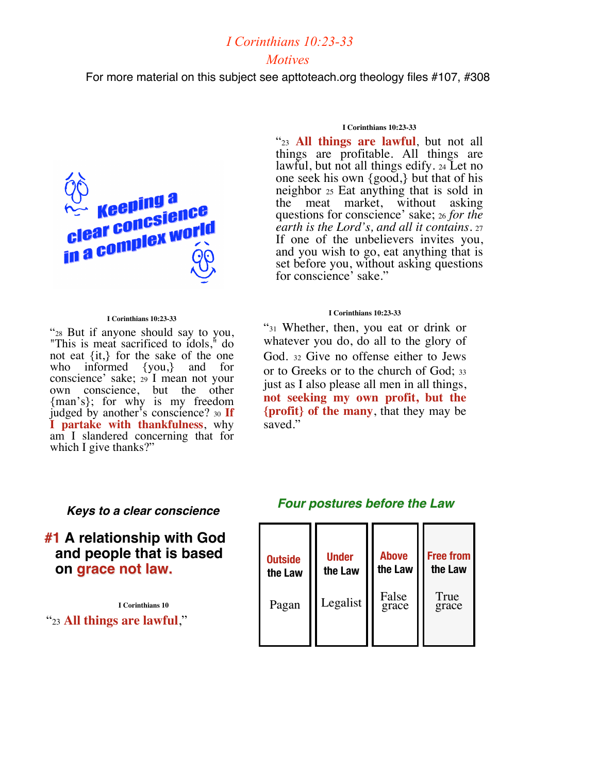### *I Corinthians 10:23-33 Motives*

For more material on this subject see apttoteach.org theology files #107, #308



#### **I Corinthians 10:23-33**

"28 But if anyone should say to you, "This is meat sacrificed to idols," do not eat {it,} for the sake of the one who informed {you,} and for conscience' sake; <sup>29</sup> I mean not your own conscience, but the other {man's}; for why is my freedom judged by another's conscience? <sup>30</sup> **If I partake with thankfulness**, why am I slandered concerning that for which I give thanks?"

#### **I Corinthians 10:23-33**

"23 **All things are lawful**, but not all things are profitable. All things are lawful, but not all things edify. 24 Let no one seek his own {good,} but that of his neighbor <sup>25</sup> Eat anything that is sold in the meat market, without asking questions for conscience' sake; <sup>26</sup> *for the earth is the Lord's, and all it contains*. 27 and you wish to go, eat anything that is set before you, without asking questions for conscience' sake."

#### **I Corinthians 10:23-33**

"31 Whether, then, you eat or drink or whatever you do, do all to the glory of God. <sup>32</sup> Give no offense either to Jews or to Greeks or to the church of God; <sup>33</sup> just as I also please all men in all things, **not seeking my own profit, but the {profit} of the many**, that they may be saved."

#### *Keys to a clear conscience*

**#1 A relationship with God and people that is based on grace not law.**

**I Corinthians 10** "23 **All things are lawful**,"

#### *Four postures before the Law*

| <b>Outside</b> | <b>Under</b> | <b>Above</b>   | <b>Free from</b> |
|----------------|--------------|----------------|------------------|
| the Law        | the Law      | the Law        | the Law          |
| Pagan          | Legalist     | False<br>grace | True<br>grace    |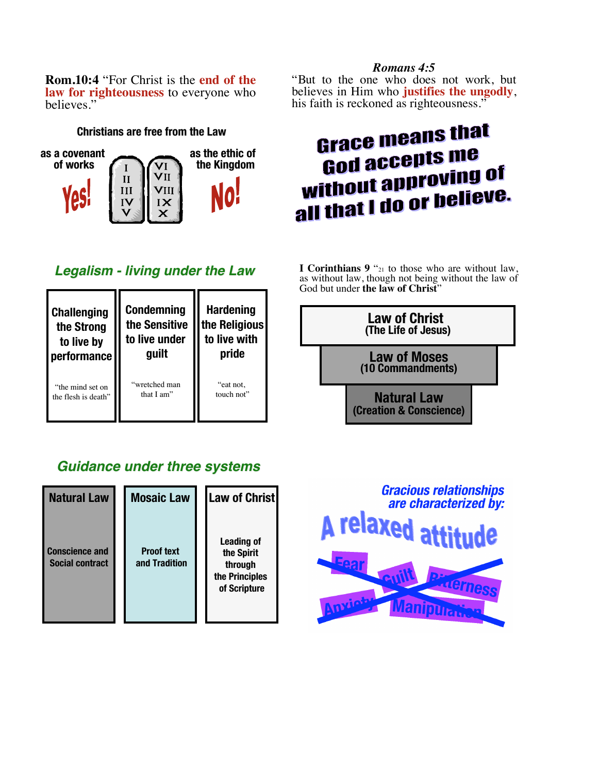**Rom.10:4** "For Christ is the **end of the law for righteousness** to everyone who believes."

#### **Christians are free from the Law**



## *Legalism - living under the Law*

| <b>Challenging</b>  | <b>Condemning</b> | <b>Hardening</b> |
|---------------------|-------------------|------------------|
| the Strong          | the Sensitive     | the Religious    |
| to live by          | to live under     | to live with     |
| performance         | guilt             | pride            |
| "the mind set on    | "wretched man     | "eat not,        |
| the flesh is death" | that I am"        | touch not"       |

## *Guidance under three systems Guidance under three systems*

| <b>Natural Law</b>                              | <b>Mosaic Law</b>                  | <b>Law of Christ</b>                                                         |
|-------------------------------------------------|------------------------------------|------------------------------------------------------------------------------|
| <b>Conscience and</b><br><b>Social contract</b> | <b>Proof text</b><br>and Tradition | <b>Leading of</b><br>the Spirit<br>through<br>the Principles<br>of Scripture |

### *Romans 4:5*

"But to the one who does not work, but believes in Him who **justifies the ungodly**, his faith is reckoned as righteousness."

# **Grace means that God accepts me God accepts III of<br>without approving of** without applessive.<br>all that I do or believe.

**<sup>I</sup> Corinthians <sup>9</sup>** "21 to those who are without law, as without law, though not being without the law of God but under **the law of Christ**"